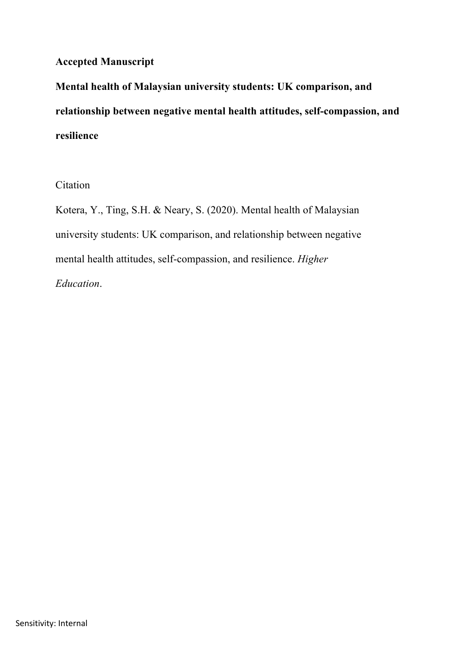# **Accepted Manuscript**

**Mental health of Malaysian university students: UK comparison, and relationship between negative mental health attitudes, self-compassion, and resilience**

Citation

Kotera, Y., Ting, S.H. & Neary, S. (2020). Mental health of Malaysian university students: UK comparison, and relationship between negative mental health attitudes, self-compassion, and resilience. *Higher Education*.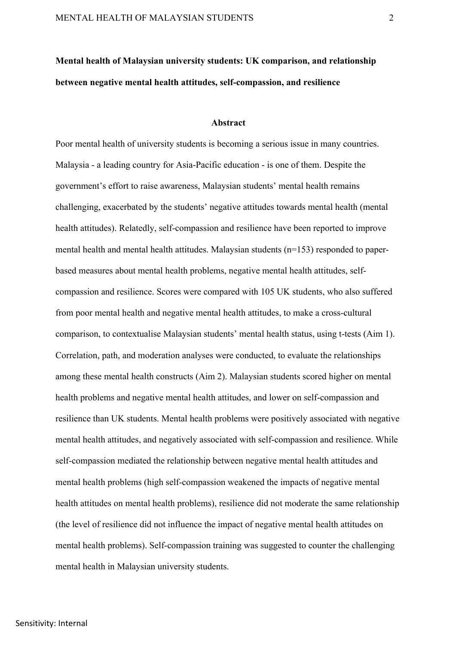# **Mental health of Malaysian university students: UK comparison, and relationship between negative mental health attitudes, self-compassion, and resilience**

#### **Abstract**

Poor mental health of university students is becoming a serious issue in many countries. Malaysia - a leading country for Asia-Pacific education - is one of them. Despite the government's effort to raise awareness, Malaysian students' mental health remains challenging, exacerbated by the students' negative attitudes towards mental health (mental health attitudes). Relatedly, self-compassion and resilience have been reported to improve mental health and mental health attitudes. Malaysian students (n=153) responded to paperbased measures about mental health problems, negative mental health attitudes, selfcompassion and resilience. Scores were compared with 105 UK students, who also suffered from poor mental health and negative mental health attitudes, to make a cross-cultural comparison, to contextualise Malaysian students' mental health status, using t-tests (Aim 1). Correlation, path, and moderation analyses were conducted, to evaluate the relationships among these mental health constructs (Aim 2). Malaysian students scored higher on mental health problems and negative mental health attitudes, and lower on self-compassion and resilience than UK students. Mental health problems were positively associated with negative mental health attitudes, and negatively associated with self-compassion and resilience. While self-compassion mediated the relationship between negative mental health attitudes and mental health problems (high self-compassion weakened the impacts of negative mental health attitudes on mental health problems), resilience did not moderate the same relationship (the level of resilience did not influence the impact of negative mental health attitudes on mental health problems). Self-compassion training was suggested to counter the challenging mental health in Malaysian university students.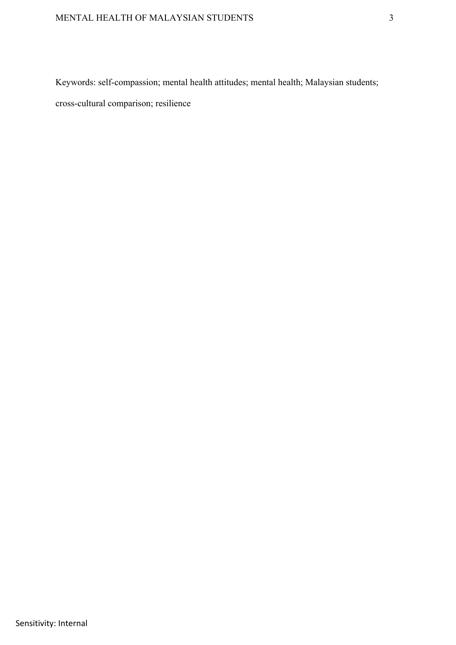Keywords: self-compassion; mental health attitudes; mental health; Malaysian students;

cross-cultural comparison; resilience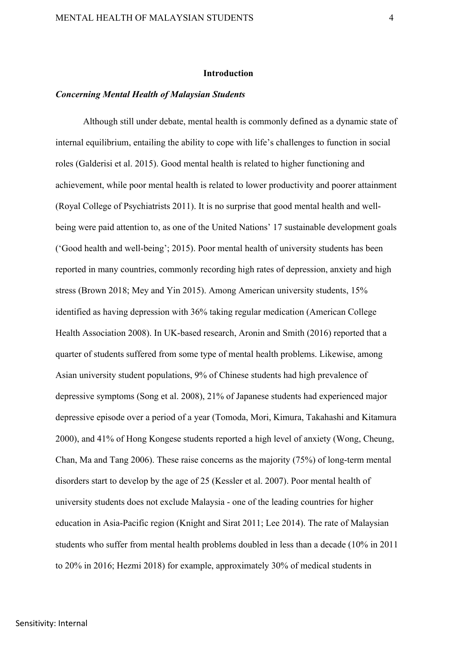#### **Introduction**

#### *Concerning Mental Health of Malaysian Students*

Although still under debate, mental health is commonly defined as a dynamic state of internal equilibrium, entailing the ability to cope with life's challenges to function in social roles (Galderisi et al. 2015). Good mental health is related to higher functioning and achievement, while poor mental health is related to lower productivity and poorer attainment (Royal College of Psychiatrists 2011). It is no surprise that good mental health and wellbeing were paid attention to, as one of the United Nations' 17 sustainable development goals ('Good health and well-being'; 2015). Poor mental health of university students has been reported in many countries, commonly recording high rates of depression, anxiety and high stress (Brown 2018; Mey and Yin 2015). Among American university students, 15% identified as having depression with 36% taking regular medication (American College Health Association 2008). In UK-based research, Aronin and Smith (2016) reported that a quarter of students suffered from some type of mental health problems. Likewise, among Asian university student populations, 9% of Chinese students had high prevalence of depressive symptoms (Song et al. 2008), 21% of Japanese students had experienced major depressive episode over a period of a year (Tomoda, Mori, Kimura, Takahashi and Kitamura 2000), and 41% of Hong Kongese students reported a high level of anxiety (Wong, Cheung, Chan, Ma and Tang 2006). These raise concerns as the majority (75%) of long-term mental disorders start to develop by the age of 25 (Kessler et al. 2007). Poor mental health of university students does not exclude Malaysia - one of the leading countries for higher education in Asia-Pacific region (Knight and Sirat 2011; Lee 2014). The rate of Malaysian students who suffer from mental health problems doubled in less than a decade (10% in 2011 to 20% in 2016; Hezmi 2018) for example, approximately 30% of medical students in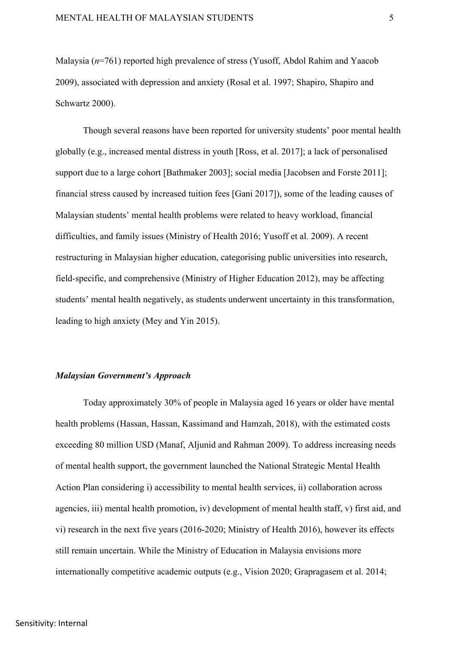Malaysia (*n*=761) reported high prevalence of stress (Yusoff, Abdol Rahim and Yaacob 2009), associated with depression and anxiety (Rosal et al. 1997; Shapiro, Shapiro and Schwartz 2000).

Though several reasons have been reported for university students' poor mental health globally (e.g., increased mental distress in youth [Ross, et al. 2017]; a lack of personalised support due to a large cohort [Bathmaker 2003]; social media [Jacobsen and Forste 2011]; financial stress caused by increased tuition fees [Gani 2017]), some of the leading causes of Malaysian students' mental health problems were related to heavy workload, financial difficulties, and family issues (Ministry of Health 2016; Yusoff et al. 2009). A recent restructuring in Malaysian higher education, categorising public universities into research, field-specific, and comprehensive (Ministry of Higher Education 2012), may be affecting students' mental health negatively, as students underwent uncertainty in this transformation, leading to high anxiety (Mey and Yin 2015).

#### *Malaysian Government's Approach*

Today approximately 30% of people in Malaysia aged 16 years or older have mental health problems (Hassan, Hassan, Kassimand and Hamzah, 2018), with the estimated costs exceeding 80 million USD (Manaf, Aljunid and Rahman 2009). To address increasing needs of mental health support, the government launched the National Strategic Mental Health Action Plan considering i) accessibility to mental health services, ii) collaboration across agencies, iii) mental health promotion, iv) development of mental health staff, v) first aid, and vi) research in the next five years (2016-2020; Ministry of Health 2016), however its effects still remain uncertain. While the Ministry of Education in Malaysia envisions more internationally competitive academic outputs (e.g., Vision 2020; Grapragasem et al. 2014;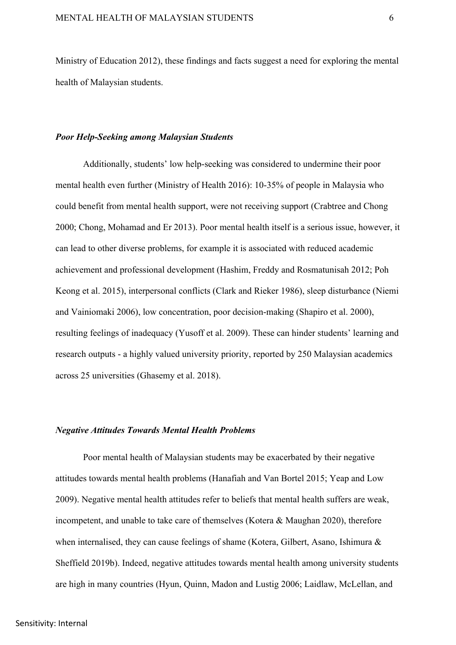Ministry of Education 2012), these findings and facts suggest a need for exploring the mental health of Malaysian students.

#### *Poor Help-Seeking among Malaysian Students*

Additionally, students' low help-seeking was considered to undermine their poor mental health even further (Ministry of Health 2016): 10-35% of people in Malaysia who could benefit from mental health support, were not receiving support (Crabtree and Chong 2000; Chong, Mohamad and Er 2013). Poor mental health itself is a serious issue, however, it can lead to other diverse problems, for example it is associated with reduced academic achievement and professional development (Hashim, Freddy and Rosmatunisah 2012; Poh Keong et al. 2015), interpersonal conflicts (Clark and Rieker 1986), sleep disturbance (Niemi and Vainiomaki 2006), low concentration, poor decision-making (Shapiro et al. 2000), resulting feelings of inadequacy (Yusoff et al. 2009). These can hinder students' learning and research outputs - a highly valued university priority, reported by 250 Malaysian academics across 25 universities (Ghasemy et al. 2018).

### *Negative Attitudes Towards Mental Health Problems*

Poor mental health of Malaysian students may be exacerbated by their negative attitudes towards mental health problems (Hanafiah and Van Bortel 2015; Yeap and Low 2009). Negative mental health attitudes refer to beliefs that mental health suffers are weak, incompetent, and unable to take care of themselves (Kotera & Maughan 2020), therefore when internalised, they can cause feelings of shame (Kotera, Gilbert, Asano, Ishimura & Sheffield 2019b). Indeed, negative attitudes towards mental health among university students are high in many countries (Hyun, Quinn, Madon and Lustig 2006; Laidlaw, McLellan, and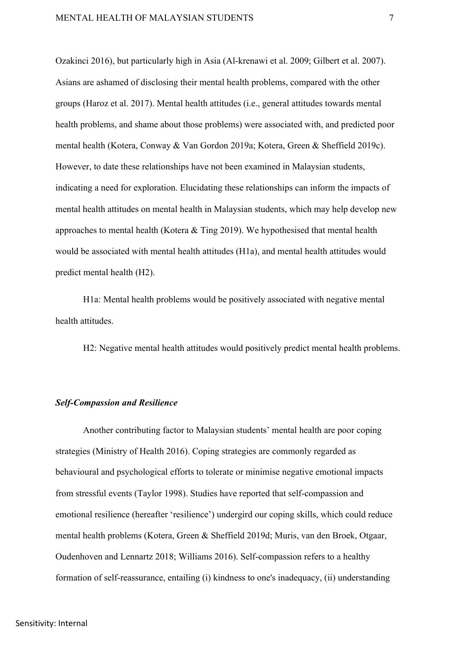Ozakinci 2016), but particularly high in Asia (Al-krenawi et al. 2009; Gilbert et al. 2007). Asians are ashamed of disclosing their mental health problems, compared with the other groups (Haroz et al. 2017). Mental health attitudes (i.e., general attitudes towards mental health problems, and shame about those problems) were associated with, and predicted poor mental health (Kotera, Conway & Van Gordon 2019a; Kotera, Green & Sheffield 2019c). However, to date these relationships have not been examined in Malaysian students, indicating a need for exploration. Elucidating these relationships can inform the impacts of mental health attitudes on mental health in Malaysian students, which may help develop new approaches to mental health (Kotera & Ting 2019). We hypothesised that mental health would be associated with mental health attitudes (H1a), and mental health attitudes would predict mental health (H2).

H1a: Mental health problems would be positively associated with negative mental health attitudes.

H2: Negative mental health attitudes would positively predict mental health problems.

#### *Self-Compassion and Resilience*

Another contributing factor to Malaysian students' mental health are poor coping strategies (Ministry of Health 2016). Coping strategies are commonly regarded as behavioural and psychological efforts to tolerate or minimise negative emotional impacts from stressful events (Taylor 1998). Studies have reported that self-compassion and emotional resilience (hereafter 'resilience') undergird our coping skills, which could reduce mental health problems (Kotera, Green & Sheffield 2019d; Muris, van den Broek, Otgaar, Oudenhoven and Lennartz 2018; Williams 2016). Self-compassion refers to a healthy formation of self-reassurance, entailing (i) kindness to one's inadequacy, (ii) understanding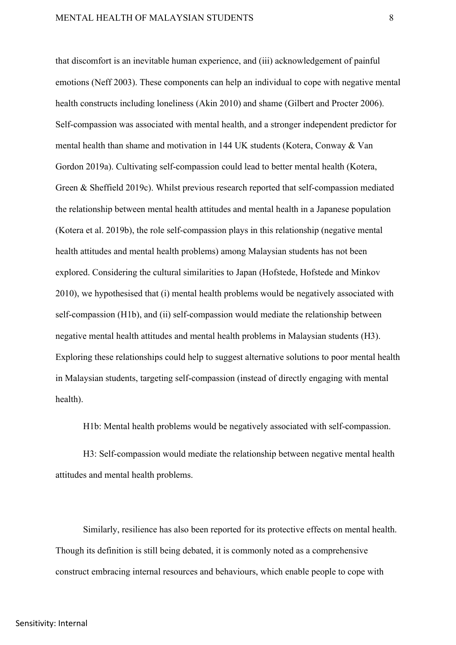that discomfort is an inevitable human experience, and (iii) acknowledgement of painful emotions (Neff 2003). These components can help an individual to cope with negative mental health constructs including loneliness (Akin 2010) and shame (Gilbert and Procter 2006). Self-compassion was associated with mental health, and a stronger independent predictor for mental health than shame and motivation in 144 UK students (Kotera, Conway & Van Gordon 2019a). Cultivating self-compassion could lead to better mental health (Kotera, Green & Sheffield 2019c). Whilst previous research reported that self-compassion mediated the relationship between mental health attitudes and mental health in a Japanese population (Kotera et al. 2019b), the role self-compassion plays in this relationship (negative mental health attitudes and mental health problems) among Malaysian students has not been explored. Considering the cultural similarities to Japan (Hofstede, Hofstede and Minkov 2010), we hypothesised that (i) mental health problems would be negatively associated with self-compassion (H1b), and (ii) self-compassion would mediate the relationship between negative mental health attitudes and mental health problems in Malaysian students (H3). Exploring these relationships could help to suggest alternative solutions to poor mental health in Malaysian students, targeting self-compassion (instead of directly engaging with mental health).

H1b: Mental health problems would be negatively associated with self-compassion.

H3: Self-compassion would mediate the relationship between negative mental health attitudes and mental health problems.

Similarly, resilience has also been reported for its protective effects on mental health. Though its definition is still being debated, it is commonly noted as a comprehensive construct embracing internal resources and behaviours, which enable people to cope with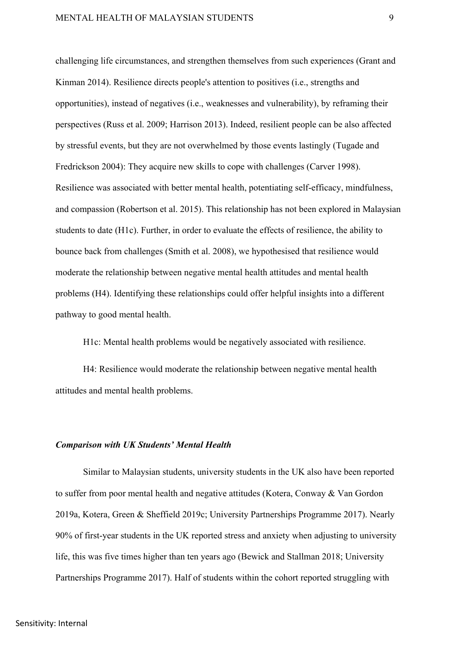challenging life circumstances, and strengthen themselves from such experiences (Grant and Kinman 2014). Resilience directs people's attention to positives (i.e., strengths and opportunities), instead of negatives (i.e., weaknesses and vulnerability), by reframing their perspectives (Russ et al. 2009; Harrison 2013). Indeed, resilient people can be also affected by stressful events, but they are not overwhelmed by those events lastingly (Tugade and Fredrickson 2004): They acquire new skills to cope with challenges (Carver 1998). Resilience was associated with better mental health, potentiating self-efficacy, mindfulness, and compassion (Robertson et al. 2015). This relationship has not been explored in Malaysian students to date (H1c). Further, in order to evaluate the effects of resilience, the ability to bounce back from challenges (Smith et al. 2008), we hypothesised that resilience would moderate the relationship between negative mental health attitudes and mental health problems (H4). Identifying these relationships could offer helpful insights into a different pathway to good mental health.

H1c: Mental health problems would be negatively associated with resilience.

H4: Resilience would moderate the relationship between negative mental health attitudes and mental health problems.

## *Comparison with UK Students' Mental Health*

Similar to Malaysian students, university students in the UK also have been reported to suffer from poor mental health and negative attitudes (Kotera, Conway & Van Gordon 2019a, Kotera, Green & Sheffield 2019c; University Partnerships Programme 2017). Nearly 90% of first-year students in the UK reported stress and anxiety when adjusting to university life, this was five times higher than ten years ago (Bewick and Stallman 2018; University Partnerships Programme 2017). Half of students within the cohort reported struggling with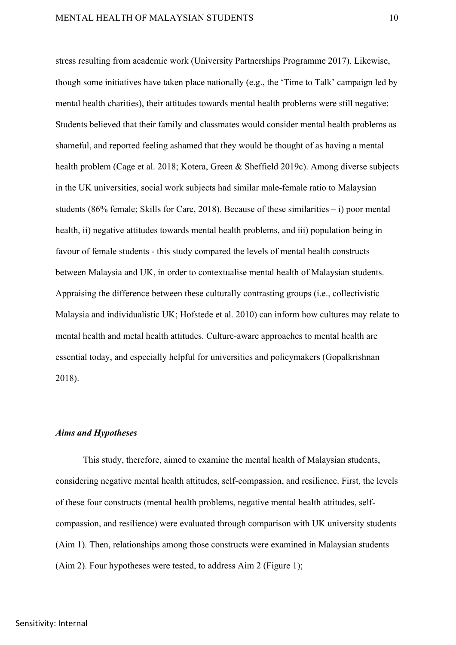stress resulting from academic work (University Partnerships Programme 2017). Likewise, though some initiatives have taken place nationally (e.g., the 'Time to Talk' campaign led by mental health charities), their attitudes towards mental health problems were still negative: Students believed that their family and classmates would consider mental health problems as shameful, and reported feeling ashamed that they would be thought of as having a mental health problem (Cage et al. 2018; Kotera, Green & Sheffield 2019c). Among diverse subjects in the UK universities, social work subjects had similar male-female ratio to Malaysian students (86% female; Skills for Care, 2018). Because of these similarities – i) poor mental health, ii) negative attitudes towards mental health problems, and iii) population being in favour of female students - this study compared the levels of mental health constructs between Malaysia and UK, in order to contextualise mental health of Malaysian students. Appraising the difference between these culturally contrasting groups (i.e., collectivistic Malaysia and individualistic UK; Hofstede et al. 2010) can inform how cultures may relate to mental health and metal health attitudes. Culture-aware approaches to mental health are essential today, and especially helpful for universities and policymakers (Gopalkrishnan 2018).

## *Aims and Hypotheses*

This study, therefore, aimed to examine the mental health of Malaysian students, considering negative mental health attitudes, self-compassion, and resilience. First, the levels of these four constructs (mental health problems, negative mental health attitudes, selfcompassion, and resilience) were evaluated through comparison with UK university students (Aim 1). Then, relationships among those constructs were examined in Malaysian students (Aim 2). Four hypotheses were tested, to address Aim 2 (Figure 1);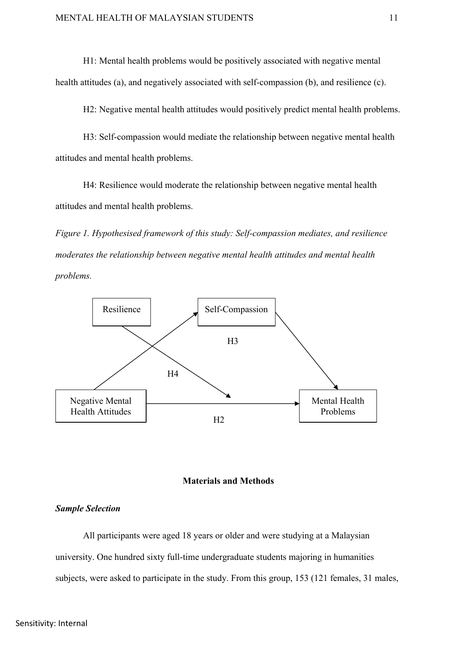H1: Mental health problems would be positively associated with negative mental health attitudes (a), and negatively associated with self-compassion (b), and resilience (c).

H2: Negative mental health attitudes would positively predict mental health problems.

H3: Self-compassion would mediate the relationship between negative mental health attitudes and mental health problems.

H4: Resilience would moderate the relationship between negative mental health attitudes and mental health problems.

*Figure 1. Hypothesised framework of this study: Self-compassion mediates, and resilience moderates the relationship between negative mental health attitudes and mental health problems.* 



#### **Materials and Methods**

# *Sample Selection*

All participants were aged 18 years or older and were studying at a Malaysian university. One hundred sixty full-time undergraduate students majoring in humanities subjects, were asked to participate in the study. From this group, 153 (121 females, 31 males,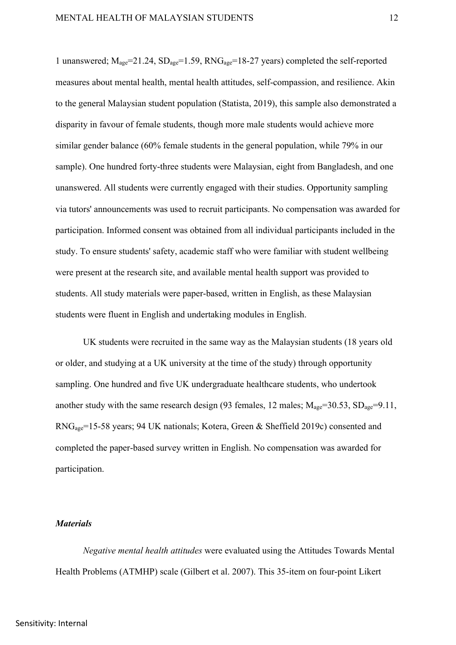1 unanswered;  $M_{\text{age}}=21.24$ ,  $SD_{\text{age}}=1.59$ ,  $RNG_{\text{age}}=18-27$  years) completed the self-reported measures about mental health, mental health attitudes, self-compassion, and resilience. Akin to the general Malaysian student population (Statista, 2019), this sample also demonstrated a disparity in favour of female students, though more male students would achieve more similar gender balance (60% female students in the general population, while 79% in our sample). One hundred forty-three students were Malaysian, eight from Bangladesh, and one unanswered. All students were currently engaged with their studies. Opportunity sampling via tutors' announcements was used to recruit participants. No compensation was awarded for participation. Informed consent was obtained from all individual participants included in the study. To ensure students' safety, academic staff who were familiar with student wellbeing were present at the research site, and available mental health support was provided to students. All study materials were paper-based, written in English, as these Malaysian students were fluent in English and undertaking modules in English.

UK students were recruited in the same way as the Malaysian students (18 years old or older, and studying at a UK university at the time of the study) through opportunity sampling. One hundred and five UK undergraduate healthcare students, who undertook another study with the same research design (93 females, 12 males;  $M_{\text{age}} = 30.53$ ,  $SD_{\text{age}} = 9.11$ , RNGage=15-58 years; 94 UK nationals; Kotera, Green & Sheffield 2019c) consented and completed the paper-based survey written in English. No compensation was awarded for participation.

#### *Materials*

*Negative mental health attitudes* were evaluated using the Attitudes Towards Mental Health Problems (ATMHP) scale (Gilbert et al. 2007). This 35-item on four-point Likert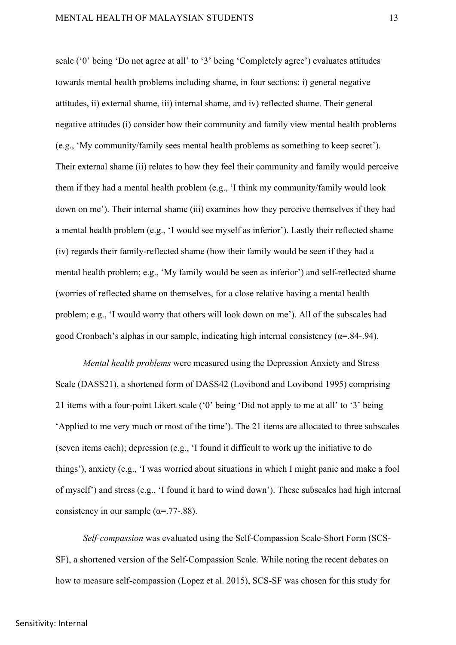scale ('0' being 'Do not agree at all' to '3' being 'Completely agree') evaluates attitudes towards mental health problems including shame, in four sections: i) general negative attitudes, ii) external shame, iii) internal shame, and iv) reflected shame. Their general negative attitudes (i) consider how their community and family view mental health problems (e.g., 'My community/family sees mental health problems as something to keep secret'). Their external shame (ii) relates to how they feel their community and family would perceive them if they had a mental health problem (e.g., 'I think my community/family would look down on me'). Their internal shame (iii) examines how they perceive themselves if they had a mental health problem (e.g., 'I would see myself as inferior'). Lastly their reflected shame (iv) regards their family-reflected shame (how their family would be seen if they had a mental health problem; e.g., 'My family would be seen as inferior') and self-reflected shame (worries of reflected shame on themselves, for a close relative having a mental health problem; e.g., 'I would worry that others will look down on me'). All of the subscales had good Cronbach's alphas in our sample, indicating high internal consistency  $(\alpha = 0.84 - 0.94)$ .

*Mental health problems* were measured using the Depression Anxiety and Stress Scale (DASS21), a shortened form of DASS42 (Lovibond and Lovibond 1995) comprising 21 items with a four-point Likert scale ('0' being 'Did not apply to me at all' to '3' being 'Applied to me very much or most of the time'). The 21 items are allocated to three subscales (seven items each); depression (e.g., 'I found it difficult to work up the initiative to do things'), anxiety (e.g., 'I was worried about situations in which I might panic and make a fool of myself') and stress (e.g., 'I found it hard to wind down'). These subscales had high internal consistency in our sample  $(\alpha = .77-.88)$ .

*Self-compassion* was evaluated using the Self-Compassion Scale-Short Form (SCS-SF), a shortened version of the Self-Compassion Scale. While noting the recent debates on how to measure self-compassion (Lopez et al. 2015), SCS-SF was chosen for this study for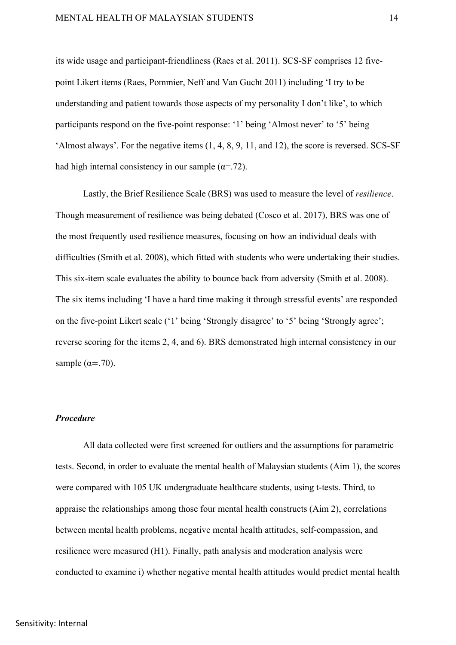its wide usage and participant-friendliness (Raes et al. 2011). SCS-SF comprises 12 fivepoint Likert items (Raes, Pommier, Neff and Van Gucht 2011) including 'I try to be understanding and patient towards those aspects of my personality I don't like', to which participants respond on the five-point response: '1' being 'Almost never' to '5' being 'Almost always'. For the negative items (1, 4, 8, 9, 11, and 12), the score is reversed. SCS-SF had high internal consistency in our sample  $(\alpha = .72)$ .

Lastly, the Brief Resilience Scale (BRS) was used to measure the level of *resilience*. Though measurement of resilience was being debated (Cosco et al. 2017), BRS was one of the most frequently used resilience measures, focusing on how an individual deals with difficulties (Smith et al. 2008), which fitted with students who were undertaking their studies. This six-item scale evaluates the ability to bounce back from adversity (Smith et al. 2008). The six items including 'I have a hard time making it through stressful events' are responded on the five-point Likert scale ('1' being 'Strongly disagree' to '5' being 'Strongly agree'; reverse scoring for the items 2, 4, and 6). BRS demonstrated high internal consistency in our sample ( $\alpha = .70$ ).

# *Procedure*

All data collected were first screened for outliers and the assumptions for parametric tests. Second, in order to evaluate the mental health of Malaysian students (Aim 1), the scores were compared with 105 UK undergraduate healthcare students, using t-tests. Third, to appraise the relationships among those four mental health constructs (Aim 2), correlations between mental health problems, negative mental health attitudes, self-compassion, and resilience were measured (H1). Finally, path analysis and moderation analysis were conducted to examine i) whether negative mental health attitudes would predict mental health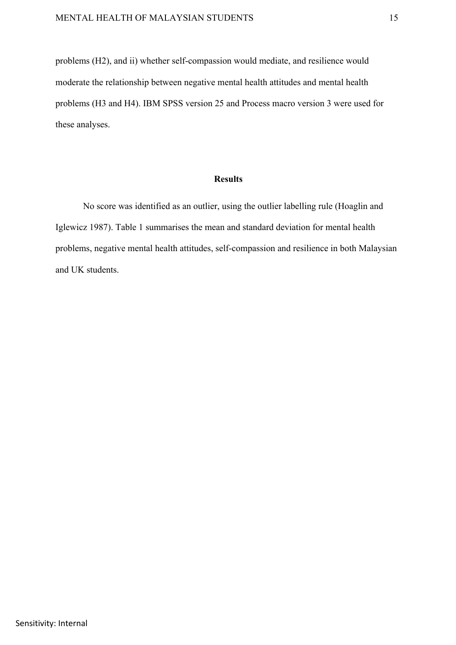problems (H2), and ii) whether self-compassion would mediate, and resilience would moderate the relationship between negative mental health attitudes and mental health problems (H3 and H4). IBM SPSS version 25 and Process macro version 3 were used for these analyses.

#### **Results**

No score was identified as an outlier, using the outlier labelling rule (Hoaglin and Iglewicz 1987). Table 1 summarises the mean and standard deviation for mental health problems, negative mental health attitudes, self-compassion and resilience in both Malaysian and UK students.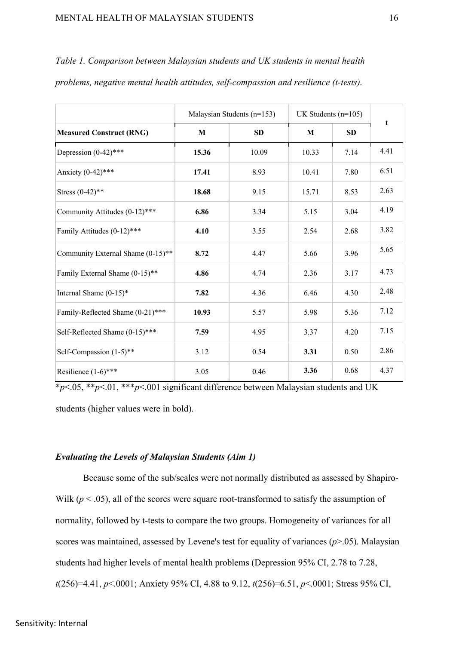|                                   |       | Malaysian Students (n=153) | UK Students $(n=105)$ |           |      |  |
|-----------------------------------|-------|----------------------------|-----------------------|-----------|------|--|
| <b>Measured Construct (RNG)</b>   | M     | <b>SD</b>                  | M                     | <b>SD</b> | t    |  |
| Depression $(0-42)$ ***           | 15.36 | 10.09                      | 10.33                 | 7.14      | 4.41 |  |
| Anxiety (0-42)***                 | 17.41 | 8.93                       | 10.41                 | 7.80      | 6.51 |  |
| Stress $(0-42)$ **                | 18.68 | 9.15                       | 15.71                 | 8.53      | 2.63 |  |
| Community Attitudes (0-12)***     | 6.86  | 3.34                       | 5.15                  | 3.04      | 4.19 |  |
| Family Attitudes (0-12)***        | 4.10  | 3.55                       | 2.54                  | 2.68      | 3.82 |  |
| Community External Shame (0-15)** | 8.72  | 4.47                       | 5.66                  | 3.96      | 5.65 |  |
| Family External Shame (0-15)**    | 4.86  | 4.74                       | 2.36                  | 3.17      | 4.73 |  |
| Internal Shame $(0-15)^*$         | 7.82  | 4.36                       | 6.46                  | 4.30      | 2.48 |  |
| Family-Reflected Shame (0-21)***  | 10.93 | 5.57                       | 5.98                  | 5.36      | 7.12 |  |
| Self-Reflected Shame (0-15)***    | 7.59  | 4.95                       | 3.37                  | 4.20      | 7.15 |  |
| Self-Compassion $(1-5)$ **        | 3.12  | 0.54                       | 3.31                  | 0.50      | 2.86 |  |
| Resilience (1-6)***               | 3.05  | 0.46                       | 3.36                  | 0.68      | 4.37 |  |

*Table 1. Comparison between Malaysian students and UK students in mental health problems, negative mental health attitudes, self-compassion and resilience (t-tests).* 

\**p*<.05, \*\**p*<.01, \*\*\**p*<.001 significant difference between Malaysian students and UK students (higher values were in bold).

# *Evaluating the Levels of Malaysian Students (Aim 1)*

Because some of the sub/scales were not normally distributed as assessed by Shapiro-Wilk  $(p < .05)$ , all of the scores were square root-transformed to satisfy the assumption of normality, followed by t-tests to compare the two groups. Homogeneity of variances for all scores was maintained, assessed by Levene's test for equality of variances (*p*>.05). Malaysian students had higher levels of mental health problems (Depression 95% CI, 2.78 to 7.28, *t*(256)=4.41, *p*<.0001; Anxiety 95% CI, 4.88 to 9.12, *t*(256)=6.51, *p*<.0001; Stress 95% CI,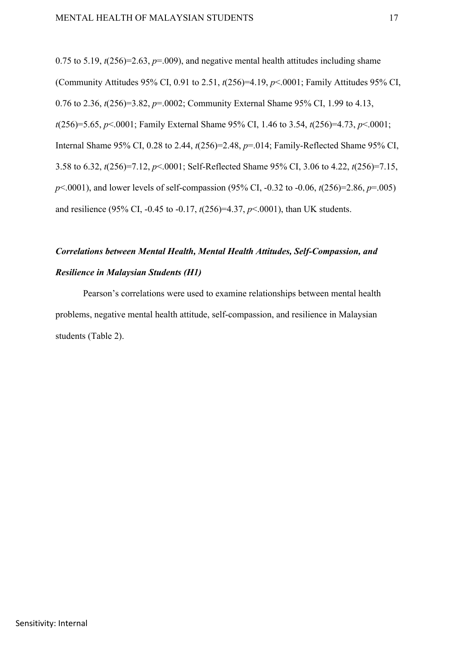0.75 to 5.19,  $t(256)=2.63$ ,  $p=.009$ ), and negative mental health attitudes including shame (Community Attitudes 95% CI, 0.91 to 2.51, *t*(256)=4.19, *p*<.0001; Family Attitudes 95% CI, 0.76 to 2.36, *t*(256)=3.82, *p*=.0002; Community External Shame 95% CI, 1.99 to 4.13, *t*(256)=5.65, *p*<.0001; Family External Shame 95% CI, 1.46 to 3.54, *t*(256)=4.73, *p*<.0001; Internal Shame 95% CI, 0.28 to 2.44, *t*(256)=2.48, *p*=.014; Family-Reflected Shame 95% CI, 3.58 to 6.32, *t*(256)=7.12, *p*<.0001; Self-Reflected Shame 95% CI, 3.06 to 4.22, *t*(256)=7.15, *p*<.0001), and lower levels of self-compassion (95% CI, -0.32 to -0.06, *t*(256)=2.86, *p*=.005) and resilience (95% CI, -0.45 to -0.17, *t*(256)=4.37, *p*<.0001), than UK students.

# *Correlations between Mental Health, Mental Health Attitudes, Self-Compassion, and Resilience in Malaysian Students (H1)*

Pearson's correlations were used to examine relationships between mental health problems, negative mental health attitude, self-compassion, and resilience in Malaysian students (Table 2).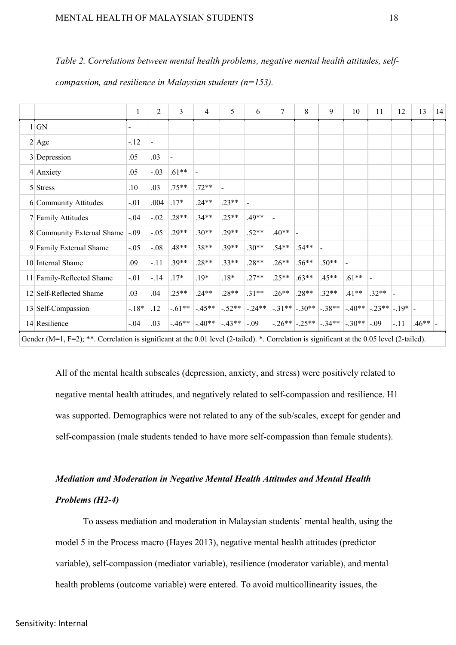|  |  |  |  |  | Table 2. Correlations between mental health problems, negative mental health attitudes, self- |
|--|--|--|--|--|-----------------------------------------------------------------------------------------------|
|--|--|--|--|--|-----------------------------------------------------------------------------------------------|

*compassion, and resilience in Malaysian students (n=153).* 

|                            | $\mathbf{1}$ | 2              | 3        | $\overline{4}$ | 5                          | 6                 | 7       | 8                        | 9                                                                                                                 | 10      | 11      | 12     | 13      | 14 |
|----------------------------|--------------|----------------|----------|----------------|----------------------------|-------------------|---------|--------------------------|-------------------------------------------------------------------------------------------------------------------|---------|---------|--------|---------|----|
| 1 GN                       |              |                |          |                |                            |                   |         |                          |                                                                                                                   |         |         |        |         |    |
| $2$ Age                    | $-.12$       | $\blacksquare$ |          |                |                            |                   |         |                          |                                                                                                                   |         |         |        |         |    |
| 3 Depression               | .05          | .03            |          |                |                            |                   |         |                          |                                                                                                                   |         |         |        |         |    |
| $4$ Anxiety                | .05          | $-.03$         | $.61**$  |                |                            |                   |         |                          |                                                                                                                   |         |         |        |         |    |
| $5$ Stress                 | .10          | .03            | $.75***$ | $.72**$        |                            |                   |         |                          |                                                                                                                   |         |         |        |         |    |
| 6 Community Attitudes      | $-.01$       | .004           | $.17*$   | $.24**$        | $.23**$                    |                   |         |                          |                                                                                                                   |         |         |        |         |    |
| 7 Family Attitudes         | $-.04$       | $-.02$         | $.28**$  | $.34**$        | $.25**$                    | $.49**$           |         |                          |                                                                                                                   |         |         |        |         |    |
| 8 Community External Shame | $-.09$       | $-.05$         | $.29**$  | $.30**$        | $.29**$                    | $.52**$           | $.40**$ | $\overline{\phantom{a}}$ |                                                                                                                   |         |         |        |         |    |
| 9 Family External Shame    | $-.05$       | $-0.08$        | $.48**$  | $.38**$        | $.39**$                    | $.30**$           | $.54**$ | $.54**$                  |                                                                                                                   |         |         |        |         |    |
| 10 Internal Shame          | .09          | $-.11$         | $.39**$  | $.28**$        | $.33**$                    | $.28**$           | $.26**$ | $.56**$                  | $.50**$                                                                                                           |         |         |        |         |    |
| 11 Family-Reflected Shame  | $-.01$       | $-14$          | $17*$    | $.19*$         | $.18*$                     | $.27**$           | $.25**$ | $.63**$                  | $.45**$                                                                                                           | $.61**$ |         |        |         |    |
| 12 Self-Reflected Shame    | .03          | .04            | $.25**$  | $.24**$        | $.28**$                    | $.31**$           | $.26**$ | $.28**$                  | $.32**$                                                                                                           | $.41**$ | $.32**$ |        |         |    |
| 13 Self-Compassion         | $-18*$       | .12            | $-61**$  | $-45**$        |                            | $-.52**$ $-.24**$ |         |                          | $\left -.31*** \right $ - 30** $\left -.38*** \right $ - 40** $\left -.23*** \right $ - 19* $\left -.19* \right $ |         |         |        |         |    |
| 14 Resilience              | $-.04$       | .03            | $-.46**$ | $-40**$        | $\left -.43**\right $ -.09 |                   |         |                          | $\left -.26**\right $ -.25** $\left -.34**\right $ -.30** $\left -.09\right $                                     |         |         | $-.11$ | $.46**$ |    |

Gender (M=1, F=2); \*\*. Correlation is significant at the 0.01 level (2-tailed). \*. Correlation is significant at the 0.05 level (2-tailed).

All of the mental health subscales (depression, anxiety, and stress) were positively related to negative mental health attitudes, and negatively related to self-compassion and resilience. H1 was supported. Demographics were not related to any of the sub/scales, except for gender and self-compassion (male students tended to have more self-compassion than female students).

# *Mediation and Moderation in Negative Mental Health Attitudes and Mental Health Problems (H2-4)*

To assess mediation and moderation in Malaysian students' mental health, using the model 5 in the Process macro (Hayes 2013), negative mental health attitudes (predictor variable), self-compassion (mediator variable), resilience (moderator variable), and mental health problems (outcome variable) were entered. To avoid multicollinearity issues, the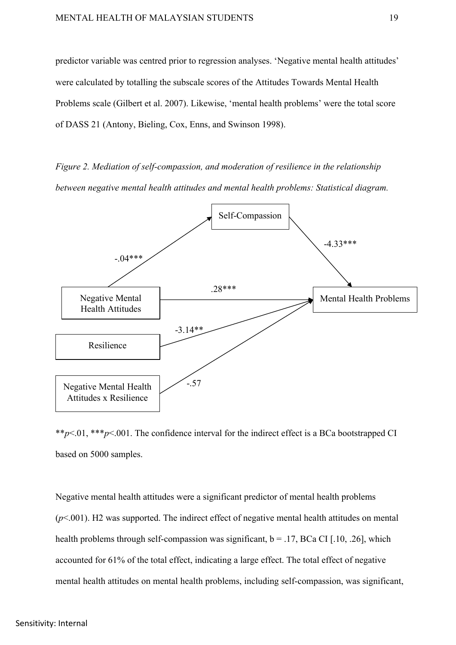predictor variable was centred prior to regression analyses. 'Negative mental health attitudes' were calculated by totalling the subscale scores of the Attitudes Towards Mental Health Problems scale (Gilbert et al. 2007). Likewise, 'mental health problems' were the total score of DASS 21 (Antony, Bieling, Cox, Enns, and Swinson 1998).

*Figure 2. Mediation of self-compassion, and moderation of resilience in the relationship between negative mental health attitudes and mental health problems: Statistical diagram.* 



\*\**p*<.01, \*\*\**p*<.001. The confidence interval for the indirect effect is a BCa bootstrapped CI based on 5000 samples.

Negative mental health attitudes were a significant predictor of mental health problems (*p*<.001). H2 was supported. The indirect effect of negative mental health attitudes on mental health problems through self-compassion was significant,  $b = .17$ , BCa CI [.10, .26], which accounted for 61% of the total effect, indicating a large effect. The total effect of negative mental health attitudes on mental health problems, including self-compassion, was significant,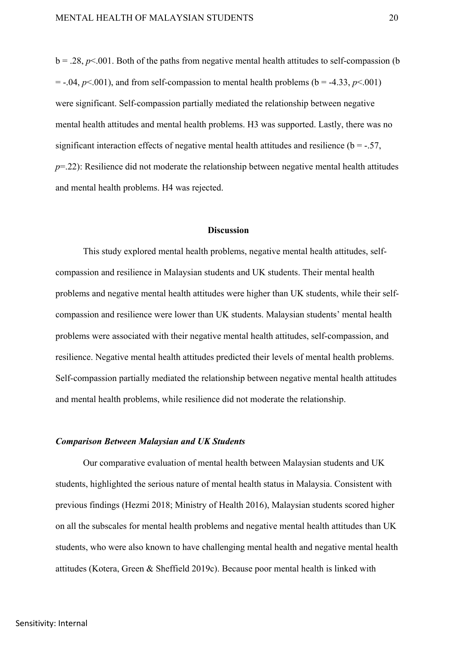$b = .28$ ,  $p \le 0.001$ . Both of the paths from negative mental health attitudes to self-compassion (b)  $=$  -.04,  $p$ <.001), and from self-compassion to mental health problems (b = -4.33,  $p$ <.001) were significant. Self-compassion partially mediated the relationship between negative mental health attitudes and mental health problems. H3 was supported. Lastly, there was no significant interaction effects of negative mental health attitudes and resilience ( $b = -.57$ ,  $p=22$ ): Resilience did not moderate the relationship between negative mental health attitudes and mental health problems. H4 was rejected.

## **Discussion**

This study explored mental health problems, negative mental health attitudes, selfcompassion and resilience in Malaysian students and UK students. Their mental health problems and negative mental health attitudes were higher than UK students, while their selfcompassion and resilience were lower than UK students. Malaysian students' mental health problems were associated with their negative mental health attitudes, self-compassion, and resilience. Negative mental health attitudes predicted their levels of mental health problems. Self-compassion partially mediated the relationship between negative mental health attitudes and mental health problems, while resilience did not moderate the relationship.

#### *Comparison Between Malaysian and UK Students*

Our comparative evaluation of mental health between Malaysian students and UK students, highlighted the serious nature of mental health status in Malaysia. Consistent with previous findings (Hezmi 2018; Ministry of Health 2016), Malaysian students scored higher on all the subscales for mental health problems and negative mental health attitudes than UK students, who were also known to have challenging mental health and negative mental health attitudes (Kotera, Green & Sheffield 2019c). Because poor mental health is linked with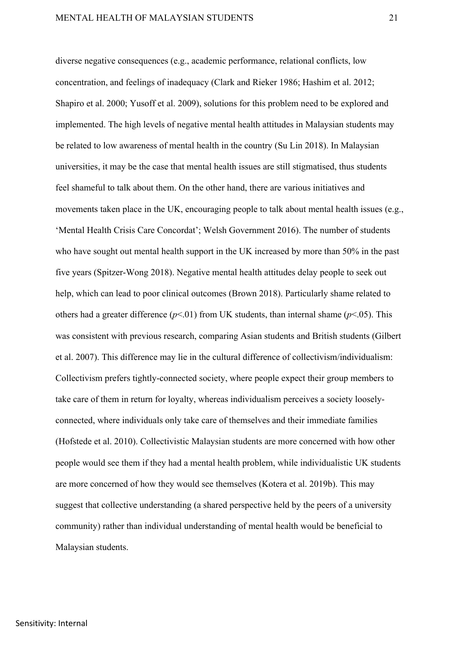diverse negative consequences (e.g., academic performance, relational conflicts, low concentration, and feelings of inadequacy (Clark and Rieker 1986; Hashim et al. 2012; Shapiro et al. 2000; Yusoff et al. 2009), solutions for this problem need to be explored and implemented. The high levels of negative mental health attitudes in Malaysian students may be related to low awareness of mental health in the country (Su Lin 2018). In Malaysian universities, it may be the case that mental health issues are still stigmatised, thus students feel shameful to talk about them. On the other hand, there are various initiatives and movements taken place in the UK, encouraging people to talk about mental health issues (e.g., 'Mental Health Crisis Care Concordat'; Welsh Government 2016). The number of students who have sought out mental health support in the UK increased by more than 50% in the past five years (Spitzer-Wong 2018). Negative mental health attitudes delay people to seek out help, which can lead to poor clinical outcomes (Brown 2018). Particularly shame related to others had a greater difference (*p*<.01) from UK students, than internal shame (*p*<.05). This was consistent with previous research, comparing Asian students and British students (Gilbert et al. 2007). This difference may lie in the cultural difference of collectivism/individualism: Collectivism prefers tightly-connected society, where people expect their group members to take care of them in return for loyalty, whereas individualism perceives a society looselyconnected, where individuals only take care of themselves and their immediate families (Hofstede et al. 2010). Collectivistic Malaysian students are more concerned with how other people would see them if they had a mental health problem, while individualistic UK students are more concerned of how they would see themselves (Kotera et al. 2019b). This may suggest that collective understanding (a shared perspective held by the peers of a university community) rather than individual understanding of mental health would be beneficial to Malaysian students.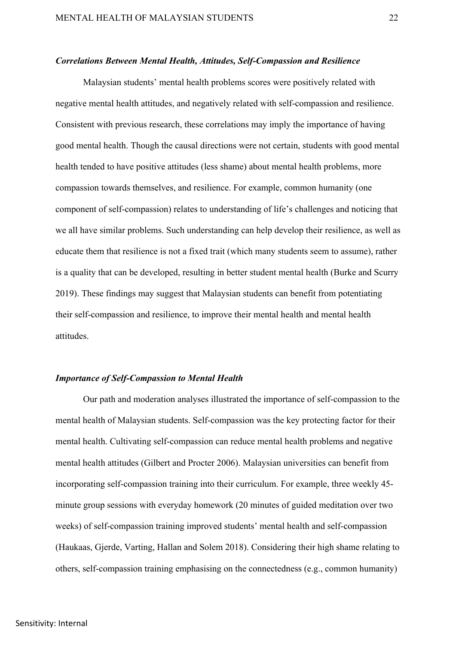#### *Correlations Between Mental Health, Attitudes, Self-Compassion and Resilience*

Malaysian students' mental health problems scores were positively related with negative mental health attitudes, and negatively related with self-compassion and resilience. Consistent with previous research, these correlations may imply the importance of having good mental health. Though the causal directions were not certain, students with good mental health tended to have positive attitudes (less shame) about mental health problems, more compassion towards themselves, and resilience. For example, common humanity (one component of self-compassion) relates to understanding of life's challenges and noticing that we all have similar problems. Such understanding can help develop their resilience, as well as educate them that resilience is not a fixed trait (which many students seem to assume), rather is a quality that can be developed, resulting in better student mental health (Burke and Scurry 2019). These findings may suggest that Malaysian students can benefit from potentiating their self-compassion and resilience, to improve their mental health and mental health attitudes.

#### *Importance of Self-Compassion to Mental Health*

Our path and moderation analyses illustrated the importance of self-compassion to the mental health of Malaysian students. Self-compassion was the key protecting factor for their mental health. Cultivating self-compassion can reduce mental health problems and negative mental health attitudes (Gilbert and Procter 2006). Malaysian universities can benefit from incorporating self-compassion training into their curriculum. For example, three weekly 45 minute group sessions with everyday homework (20 minutes of guided meditation over two weeks) of self-compassion training improved students' mental health and self-compassion (Haukaas, Gjerde, Varting, Hallan and Solem 2018). Considering their high shame relating to others, self-compassion training emphasising on the connectedness (e.g., common humanity)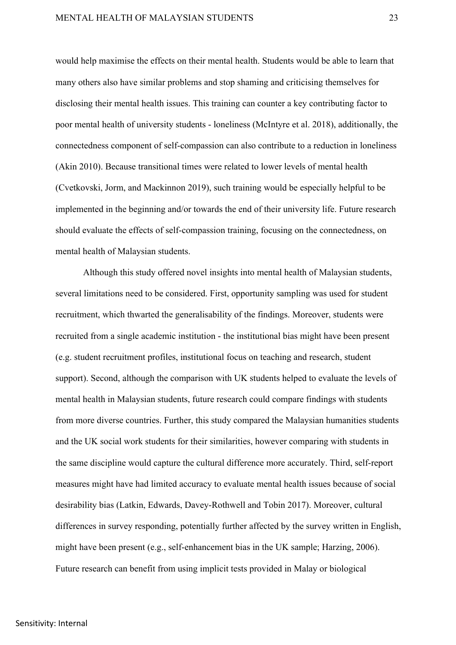would help maximise the effects on their mental health. Students would be able to learn that many others also have similar problems and stop shaming and criticising themselves for disclosing their mental health issues. This training can counter a key contributing factor to poor mental health of university students - loneliness (McIntyre et al. 2018), additionally, the connectedness component of self-compassion can also contribute to a reduction in loneliness (Akin 2010). Because transitional times were related to lower levels of mental health (Cvetkovski, Jorm, and Mackinnon 2019), such training would be especially helpful to be implemented in the beginning and/or towards the end of their university life. Future research should evaluate the effects of self-compassion training, focusing on the connectedness, on mental health of Malaysian students.

Although this study offered novel insights into mental health of Malaysian students, several limitations need to be considered. First, opportunity sampling was used for student recruitment, which thwarted the generalisability of the findings. Moreover, students were recruited from a single academic institution - the institutional bias might have been present (e.g. student recruitment profiles, institutional focus on teaching and research, student support). Second, although the comparison with UK students helped to evaluate the levels of mental health in Malaysian students, future research could compare findings with students from more diverse countries. Further, this study compared the Malaysian humanities students and the UK social work students for their similarities, however comparing with students in the same discipline would capture the cultural difference more accurately. Third, self-report measures might have had limited accuracy to evaluate mental health issues because of social desirability bias (Latkin, Edwards, Davey-Rothwell and Tobin 2017). Moreover, cultural differences in survey responding, potentially further affected by the survey written in English, might have been present (e.g., self-enhancement bias in the UK sample; Harzing, 2006). Future research can benefit from using implicit tests provided in Malay or biological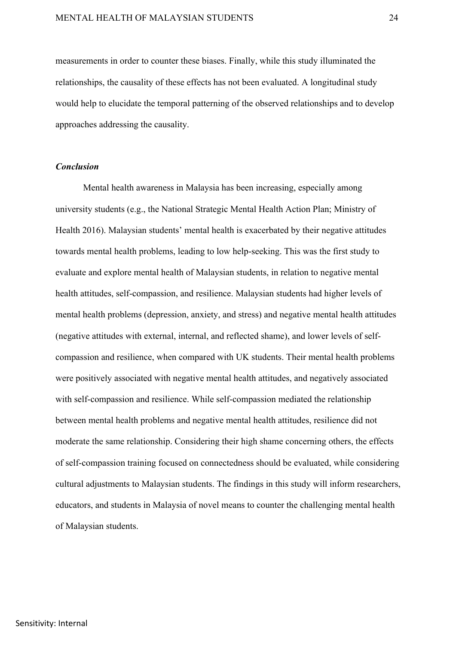measurements in order to counter these biases. Finally, while this study illuminated the relationships, the causality of these effects has not been evaluated. A longitudinal study would help to elucidate the temporal patterning of the observed relationships and to develop approaches addressing the causality.

### *Conclusion*

Mental health awareness in Malaysia has been increasing, especially among university students (e.g., the National Strategic Mental Health Action Plan; Ministry of Health 2016). Malaysian students' mental health is exacerbated by their negative attitudes towards mental health problems, leading to low help-seeking. This was the first study to evaluate and explore mental health of Malaysian students, in relation to negative mental health attitudes, self-compassion, and resilience. Malaysian students had higher levels of mental health problems (depression, anxiety, and stress) and negative mental health attitudes (negative attitudes with external, internal, and reflected shame), and lower levels of selfcompassion and resilience, when compared with UK students. Their mental health problems were positively associated with negative mental health attitudes, and negatively associated with self-compassion and resilience. While self-compassion mediated the relationship between mental health problems and negative mental health attitudes, resilience did not moderate the same relationship. Considering their high shame concerning others, the effects of self-compassion training focused on connectedness should be evaluated, while considering cultural adjustments to Malaysian students. The findings in this study will inform researchers, educators, and students in Malaysia of novel means to counter the challenging mental health of Malaysian students.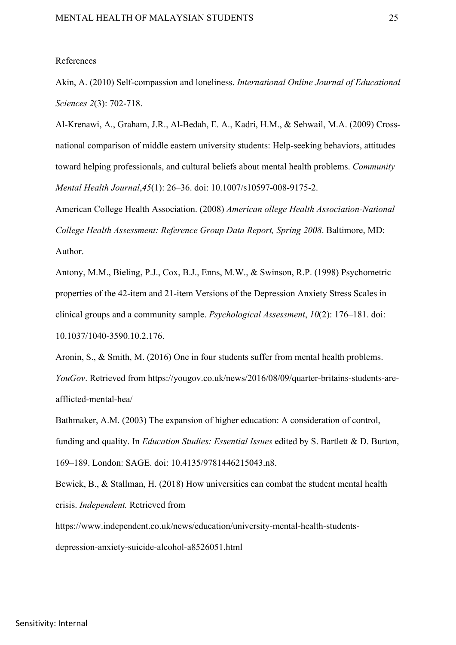#### References

Akin, A. (2010) Self-compassion and loneliness. *International Online Journal of Educational Sciences 2*(3): 702-718.

Al-Krenawi, A., Graham, J.R., Al-Bedah, E. A., Kadri, H.M., & Sehwail, M.A. (2009) Crossnational comparison of middle eastern university students: Help-seeking behaviors, attitudes toward helping professionals, and cultural beliefs about mental health problems. *Community Mental Health Journal*,*45*(1): 26–36. doi: 10.1007/s10597-008-9175-2.

American College Health Association. (2008) *American ollege Health Association-National College Health Assessment: Reference Group Data Report, Spring 2008*. Baltimore, MD: Author.

Antony, M.M., Bieling, P.J., Cox, B.J., Enns, M.W., & Swinson, R.P. (1998) Psychometric properties of the 42-item and 21-item Versions of the Depression Anxiety Stress Scales in clinical groups and a community sample. *Psychological Assessment*, *10*(2): 176–181. doi: 10.1037/1040-3590.10.2.176.

Aronin, S., & Smith, M. (2016) One in four students suffer from mental health problems. *YouGov*. Retrieved from https://yougov.co.uk/news/2016/08/09/quarter-britains-students-areafflicted-mental-hea/

Bathmaker, A.M. (2003) The expansion of higher education: A consideration of control, funding and quality. In *Education Studies: Essential Issues* edited by S. Bartlett & D. Burton, 169–189. London: SAGE. doi: 10.4135/9781446215043.n8.

Bewick, B., & Stallman, H. (2018) How universities can combat the student mental health crisis. *Independent.* Retrieved from

https://www.independent.co.uk/news/education/university-mental-health-studentsdepression-anxiety-suicide-alcohol-a8526051.html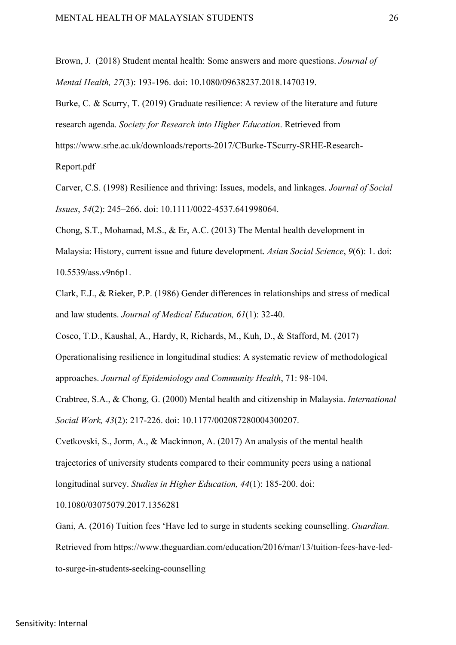Brown, J. (2018) Student mental health: Some answers and more questions. *Journal of Mental Health, 27*(3): 193-196. doi: 10.1080/09638237.2018.1470319.

Burke, C. & Scurry, T. (2019) Graduate resilience: A review of the literature and future research agenda. *Society for Research into Higher Education*. Retrieved from https://www.srhe.ac.uk/downloads/reports-2017/CBurke-TScurry-SRHE-Research-Report.pdf

Carver, C.S. (1998) Resilience and thriving: Issues, models, and linkages. *Journal of Social Issues*, *54*(2): 245–266. doi: 10.1111/0022-4537.641998064.

Chong, S.T., Mohamad, M.S., & Er, A.C. (2013) The Mental health development in Malaysia: History, current issue and future development. *Asian Social Science*, *9*(6): 1. doi: 10.5539/ass.v9n6p1.

Clark, E.J., & Rieker, P.P. (1986) Gender differences in relationships and stress of medical and law students. *Journal of Medical Education, 61*(1): 32-40.

Cosco, T.D., Kaushal, A., Hardy, R, Richards, M., Kuh, D., & Stafford, M. (2017)

Operationalising resilience in longitudinal studies: A systematic review of methodological approaches. *Journal of Epidemiology and Community Health*, 71: 98-104.

Crabtree, S.A., & Chong, G. (2000) Mental health and citizenship in Malaysia. *International Social Work, 43*(2): 217-226. doi: 10.1177/002087280004300207.

Cvetkovski, S., Jorm, A., & Mackinnon, A. (2017) An analysis of the mental health trajectories of university students compared to their community peers using a national longitudinal survey. *Studies in Higher Education, 44*(1): 185-200. doi:

10.1080/03075079.2017.1356281

Gani, A. (2016) Tuition fees 'Have led to surge in students seeking counselling. *Guardian.*  Retrieved from https://www.theguardian.com/education/2016/mar/13/tuition-fees-have-ledto-surge-in-students-seeking-counselling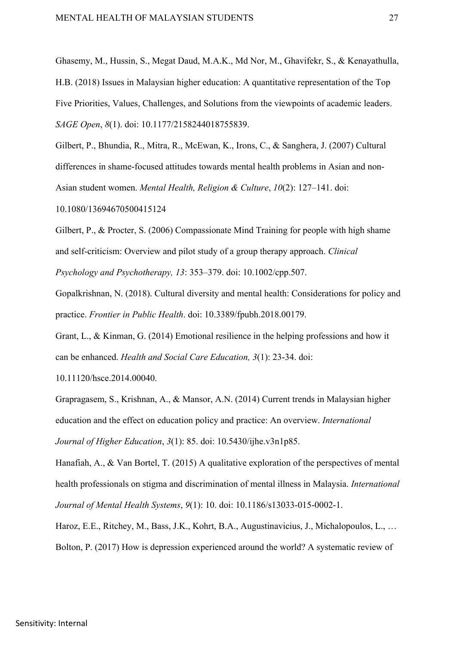Ghasemy, M., Hussin, S., Megat Daud, M.A.K., Md Nor, M., Ghavifekr, S., & Kenayathulla, H.B. (2018) Issues in Malaysian higher education: A quantitative representation of the Top Five Priorities, Values, Challenges, and Solutions from the viewpoints of academic leaders. *SAGE Open*, *8*(1). doi: 10.1177/2158244018755839.

Gilbert, P., Bhundia, R., Mitra, R., McEwan, K., Irons, C., & Sanghera, J. (2007) Cultural differences in shame-focused attitudes towards mental health problems in Asian and non-Asian student women. *Mental Health, Religion & Culture*, *10*(2): 127–141. doi:

10.1080/13694670500415124

Gilbert, P., & Procter, S. (2006) Compassionate Mind Training for people with high shame and self-criticism: Overview and pilot study of a group therapy approach. *Clinical Psychology and Psychotherapy, 13*: 353–379. doi: 10.1002/cpp.507.

Gopalkrishnan, N. (2018). Cultural diversity and mental health: Considerations for policy and practice. *Frontier in Public Health*. doi: 10.3389/fpubh.2018.00179.

Grant, L., & Kinman, G. (2014) Emotional resilience in the helping professions and how it can be enhanced. *Health and Social Care Education, 3*(1): 23-34. doi:

10.11120/hsce.2014.00040.

Grapragasem, S., Krishnan, A., & Mansor, A.N. (2014) Current trends in Malaysian higher education and the effect on education policy and practice: An overview. *International Journal of Higher Education*, *3*(1): 85. doi: 10.5430/ijhe.v3n1p85.

Hanafiah, A., & Van Bortel, T. (2015) A qualitative exploration of the perspectives of mental health professionals on stigma and discrimination of mental illness in Malaysia. *International Journal of Mental Health Systems*, *9*(1): 10. doi: 10.1186/s13033-015-0002-1.

Haroz, E.E., Ritchey, M., Bass, J.K., Kohrt, B.A., Augustinavicius, J., Michalopoulos, L., … Bolton, P. (2017) How is depression experienced around the world? A systematic review of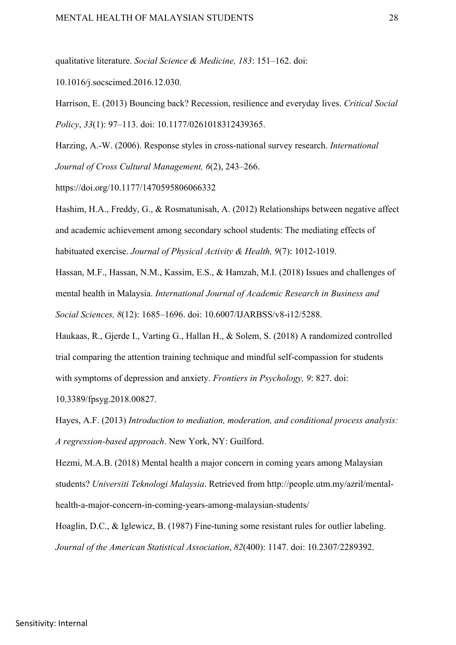qualitative literature. *Social Science & Medicine, 183*: 151–162. doi:

10.1016/j.socscimed.2016.12.030.

Harrison, E. (2013) Bouncing back? Recession, resilience and everyday lives. *Critical Social Policy*, *33*(1): 97–113. doi: 10.1177/0261018312439365.

Harzing, A.-W. (2006). Response styles in cross-national survey research. *International Journal of Cross Cultural Management, 6*(2), 243–266.

https://doi.org/10.1177/1470595806066332

Hashim, H.A., Freddy, G., & Rosmatunisah, A. (2012) Relationships between negative affect and academic achievement among secondary school students: The mediating effects of habituated exercise. *Journal of Physical Activity & Health, 9*(7): 1012-1019.

Hassan, M.F., Hassan, N.M., Kassim, E.S., & Hamzah, M.I. (2018) Issues and challenges of mental health in Malaysia. *International Journal of Academic Research in Business and Social Sciences, 8*(12): 1685–1696. doi: 10.6007/IJARBSS/v8-i12/5288.

Haukaas, R., Gjerde I., Varting G., Hallan H., & Solem, S. (2018) A randomized controlled trial comparing the attention training technique and mindful self-compassion for students with symptoms of depression and anxiety. *Frontiers in Psychology, 9*: 827. doi:

10.3389/fpsyg.2018.00827.

Hayes, A.F. (2013) *Introduction to mediation, moderation, and conditional process analysis: A regression-based approach*. New York, NY: Guilford.

Hezmi, M.A.B. (2018) Mental health a major concern in coming years among Malaysian students? *Universiti Teknologi Malaysia*. Retrieved from http://people.utm.my/azril/mentalhealth-a-major-concern-in-coming-years-among-malaysian-students/

Hoaglin, D.C., & Iglewicz, B. (1987) Fine-tuning some resistant rules for outlier labeling. *Journal of the American Statistical Association*, *82*(400): 1147. doi: 10.2307/2289392.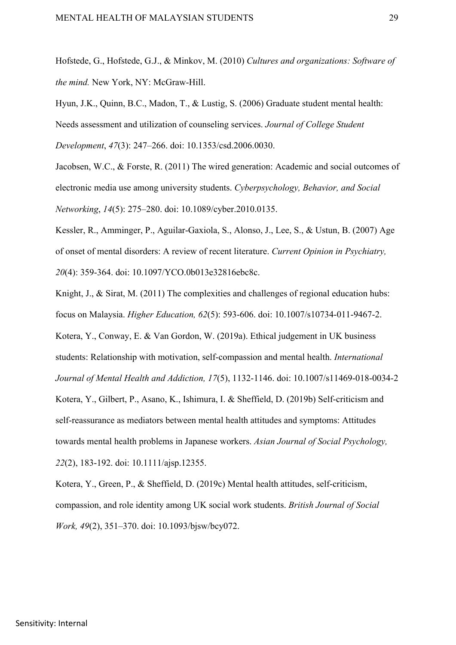Hofstede, G., Hofstede, G.J., & Minkov, M. (2010) *Cultures and organizations: Software of the mind.* New York, NY: McGraw-Hill.

Hyun, J.K., Quinn, B.C., Madon, T., & Lustig, S. (2006) Graduate student mental health: Needs assessment and utilization of counseling services. *Journal of College Student Development*, *47*(3): 247–266. doi: 10.1353/csd.2006.0030.

Jacobsen, W.C., & Forste, R. (2011) The wired generation: Academic and social outcomes of electronic media use among university students. *Cyberpsychology, Behavior, and Social Networking*, *14*(5): 275–280. doi: 10.1089/cyber.2010.0135.

Kessler, R., Amminger, P., Aguilar‐Gaxiola, S., Alonso, J., Lee, S., & Ustun, B. (2007) Age of onset of mental disorders: A review of recent literature. *Current Opinion in Psychiatry, 20*(4): 359-364. doi: 10.1097/YCO.0b013e32816ebc8c.

Knight, J., & Sirat, M. (2011) The complexities and challenges of regional education hubs: focus on Malaysia. *Higher Education, 62*(5): 593-606. doi: 10.1007/s10734-011-9467-2. Kotera, Y., Conway, E. & Van Gordon, W. (2019a). Ethical judgement in UK business students: Relationship with motivation, self-compassion and mental health. *International Journal of Mental Health and Addiction, 17*(5), 1132-1146. doi: 10.1007/s11469-018-0034-2 Kotera, Y., Gilbert, P., Asano, K., Ishimura, I. & Sheffield, D. (2019b) Self-criticism and self-reassurance as mediators between mental health attitudes and symptoms: Attitudes towards mental health problems in Japanese workers. *Asian Journal of Social Psychology, 22*(2), 183-192. doi: 10.1111/ajsp.12355.

Kotera, Y., Green, P., & Sheffield, D. (2019c) Mental health attitudes, self-criticism, compassion, and role identity among UK social work students. *British Journal of Social Work, 49*(2), 351–370. doi: 10.1093/bjsw/bcy072.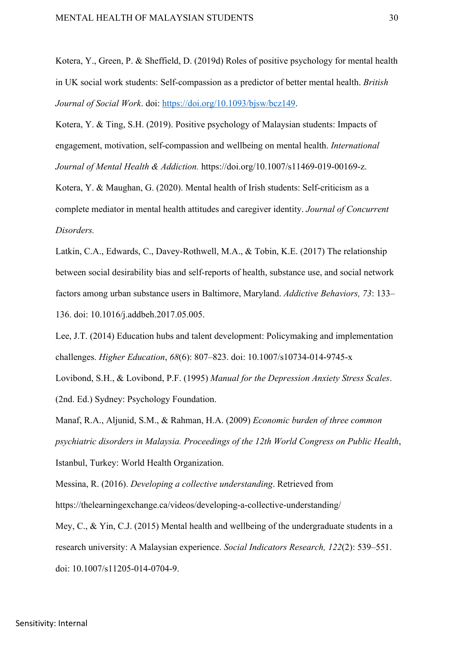Kotera, Y., Green, P. & Sheffield, D. (2019d) Roles of positive psychology for mental health in UK social work students: Self-compassion as a predictor of better mental health. *British Journal of Social Work*. doi: https://doi.org/10.1093/bjsw/bcz149.

Kotera, Y. & Ting, S.H. (2019). Positive psychology of Malaysian students: Impacts of engagement, motivation, self-compassion and wellbeing on mental health. *International Journal of Mental Health & Addiction.* https://doi.org/10.1007/s11469-019-00169-z.

Kotera, Y. & Maughan, G. (2020). Mental health of Irish students: Self-criticism as a complete mediator in mental health attitudes and caregiver identity. *Journal of Concurrent Disorders.*

Latkin, C.A., Edwards, C., Davey-Rothwell, M.A., & Tobin, K.E. (2017) The relationship between social desirability bias and self-reports of health, substance use, and social network factors among urban substance users in Baltimore, Maryland. *Addictive Behaviors, 73*: 133– 136. doi: 10.1016/j.addbeh.2017.05.005.

Lee, J.T. (2014) Education hubs and talent development: Policymaking and implementation challenges. *Higher Education*, *68*(6): 807–823. doi: 10.1007/s10734-014-9745-x

Lovibond, S.H., & Lovibond, P.F. (1995) *Manual for the Depression Anxiety Stress Scales*. (2nd. Ed.) Sydney: Psychology Foundation.

Manaf, R.A., Aljunid, S.M., & Rahman, H.A. (2009) *Economic burden of three common psychiatric disorders in Malaysia. Proceedings of the 12th World Congress on Public Health*, Istanbul, Turkey: World Health Organization.

Messina, R. (2016). *Developing a collective understanding*. Retrieved from

https://thelearningexchange.ca/videos/developing-a-collective-understanding/

Mey, C., & Yin, C.J. (2015) Mental health and wellbeing of the undergraduate students in a research university: A Malaysian experience. *Social Indicators Research, 122*(2): 539–551. doi: 10.1007/s11205-014-0704-9.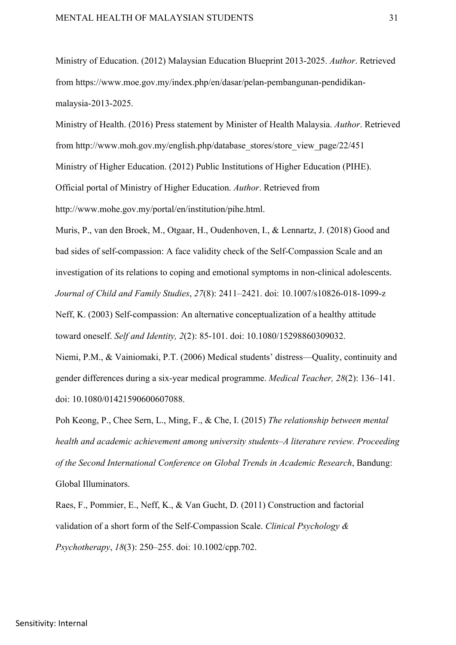Ministry of Education. (2012) Malaysian Education Blueprint 2013-2025. *Author*. Retrieved from https://www.moe.gov.my/index.php/en/dasar/pelan-pembangunan-pendidikanmalaysia-2013-2025.

Ministry of Health. (2016) Press statement by Minister of Health Malaysia. *Author*. Retrieved from http://www.moh.gov.my/english.php/database\_stores/store\_view\_page/22/451 Ministry of Higher Education. (2012) Public Institutions of Higher Education (PIHE). Official portal of Ministry of Higher Education. *Author*. Retrieved from http://www.mohe.gov.my/portal/en/institution/pihe.html.

Muris, P., van den Broek, M., Otgaar, H., Oudenhoven, I., & Lennartz, J. (2018) Good and bad sides of self-compassion: A face validity check of the Self-Compassion Scale and an investigation of its relations to coping and emotional symptoms in non-clinical adolescents. *Journal of Child and Family Studies*, *27*(8): 2411–2421. doi: 10.1007/s10826-018-1099-z

Neff, K. (2003) Self-compassion: An alternative conceptualization of a healthy attitude toward oneself. *Self and Identity, 2*(2): 85-101. doi: 10.1080/15298860309032.

Niemi, P.M., & Vainiomaki, P.T. (2006) Medical students' distress—Quality, continuity and gender differences during a six-year medical programme. *Medical Teacher, 28*(2): 136–141. doi: 10.1080/01421590600607088.

Poh Keong, P., Chee Sern, L., Ming, F., & Che, I. (2015) *The relationship between mental health and academic achievement among university students–A literature review. Proceeding of the Second International Conference on Global Trends in Academic Research*, Bandung: Global Illuminators.

Raes, F., Pommier, E., Neff, K., & Van Gucht, D. (2011) Construction and factorial validation of a short form of the Self-Compassion Scale. *Clinical Psychology & Psychotherapy*, *18*(3): 250–255. doi: 10.1002/cpp.702.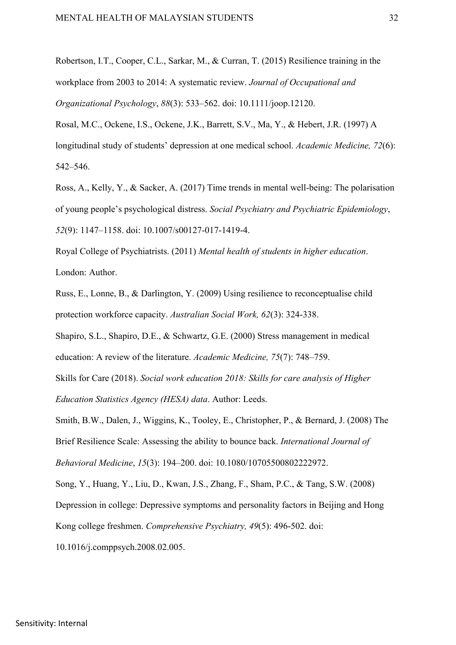Robertson, I.T., Cooper, C.L., Sarkar, M., & Curran, T. (2015) Resilience training in the workplace from 2003 to 2014: A systematic review. *Journal of Occupational and Organizational Psychology*, *88*(3): 533–562. doi: 10.1111/joop.12120.

Rosal, M.C., Ockene, I.S., Ockene, J.K., Barrett, S.V., Ma, Y., & Hebert, J.R. (1997) A longitudinal study of students' depression at one medical school. *Academic Medicine, 72*(6): 542–546.

Ross, A., Kelly, Y., & Sacker, A. (2017) Time trends in mental well-being: The polarisation of young people's psychological distress. *Social Psychiatry and Psychiatric Epidemiology*, *52*(9): 1147–1158. doi: 10.1007/s00127-017-1419-4.

Royal College of Psychiatrists. (2011) *Mental health of students in higher education*. London: Author.

Russ, E., Lonne, B., & Darlington, Y. (2009) Using resilience to reconceptualise child protection workforce capacity. *Australian Social Work, 62*(3): 324-338.

Shapiro, S.L., Shapiro, D.E., & Schwartz, G.E. (2000) Stress management in medical education: A review of the literature. *Academic Medicine, 75*(7): 748–759.

Skills for Care (2018). *Social work education 2018: Skills for care analysis of Higher Education Statistics Agency (HESA) data*. Author: Leeds.

Smith, B.W., Dalen, J., Wiggins, K., Tooley, E., Christopher, P., & Bernard, J. (2008) The Brief Resilience Scale: Assessing the ability to bounce back. *International Journal of Behavioral Medicine*, *15*(3): 194–200. doi: 10.1080/10705500802222972.

Song, Y., Huang, Y., Liu, D., Kwan, J.S., Zhang, F., Sham, P.C., & Tang, S.W. (2008) Depression in college: Depressive symptoms and personality factors in Beijing and Hong Kong college freshmen. *Comprehensive Psychiatry, 49*(5): 496-502. doi:

10.1016/j.comppsych.2008.02.005.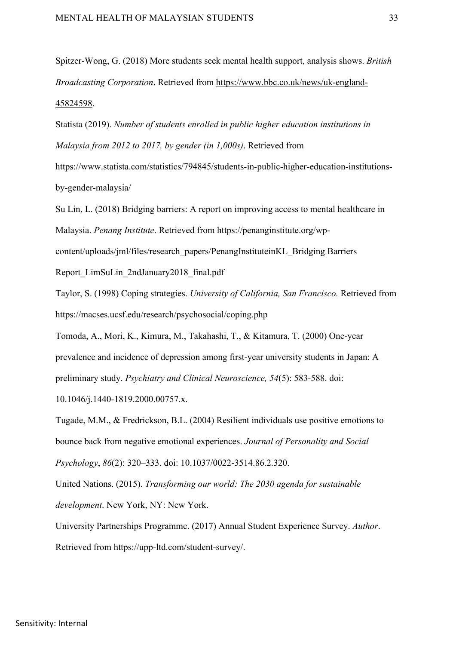Spitzer-Wong, G. (2018) More students seek mental health support, analysis shows. *British Broadcasting Corporation*. Retrieved from https://www.bbc.co.uk/news/uk-england-45824598.

Statista (2019). *Number of students enrolled in public higher education institutions in Malaysia from 2012 to 2017, by gender (in 1,000s)*. Retrieved from

https://www.statista.com/statistics/794845/students-in-public-higher-education-institutionsby-gender-malaysia/

Su Lin, L. (2018) Bridging barriers: A report on improving access to mental healthcare in Malaysia. *Penang Institute*. Retrieved from https://penanginstitute.org/wpcontent/uploads/jml/files/research\_papers/PenangInstituteinKL\_Bridging Barriers Report\_LimSuLin\_2ndJanuary2018\_final.pdf

Taylor, S. (1998) Coping strategies. *University of California, San Francisco.* Retrieved from https://macses.ucsf.edu/research/psychosocial/coping.php

Tomoda, A., Mori, K., Kimura, M., Takahashi, T., & Kitamura, T. (2000) One-year prevalence and incidence of depression among first-year university students in Japan: A preliminary study. *Psychiatry and Clinical Neuroscience, 54*(5): 583-588. doi:

10.1046/j.1440-1819.2000.00757.x.

Tugade, M.M., & Fredrickson, B.L. (2004) Resilient individuals use positive emotions to bounce back from negative emotional experiences. *Journal of Personality and Social Psychology*, *86*(2): 320–333. doi: 10.1037/0022-3514.86.2.320.

United Nations. (2015). *Transforming our world: The 2030 agenda for sustainable development*. New York, NY: New York.

University Partnerships Programme. (2017) Annual Student Experience Survey. *Author*. Retrieved from https://upp-ltd.com/student-survey/.